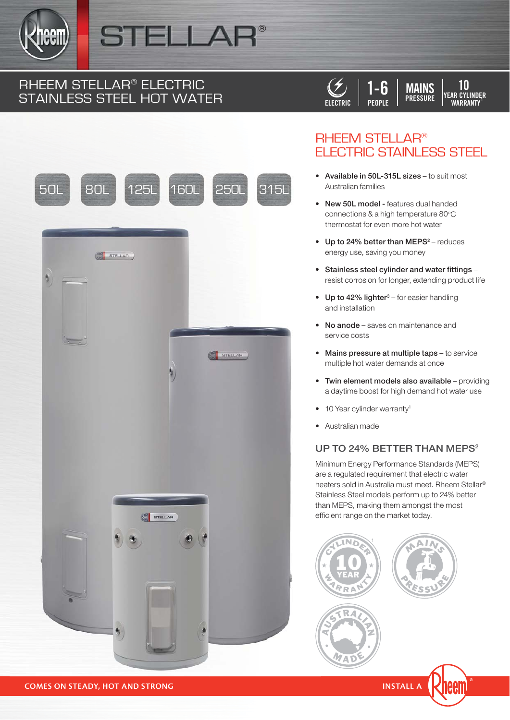

## STELLA

# RHEEM STELLAR<sup>®</sup> ELECTRIC<br>STAINLESS STEEL HOT WATER







### **RHEEM STELLAR® ELECTRIC STAINLESS STEEL**

- Available in 50L-315L sizes to suit most Australian families
- New 50L model features dual handed connections & a high temperature 80°C thermostat for even more hot water
- Up to 24% better than MEPS<sup>2</sup> reduces energy use, saving you money
- Stainless steel cylinder and water fittings resist corrosion for longer, extending product life
- Up to 42% lighter<sup>3</sup> for easier handling and installation
- No anode saves on maintenance and service costs
- Mains pressure at multiple taps to service multiple hot water demands at once
- Twin element models also available providing a davtime boost for high demand hot water use
- 10 Year cylinder warranty<sup>1</sup>
- Australian made

#### UP TO 24% BETTER THAN MEPS<sup>2</sup>

Minimum Energy Performance Standards (MEPS) are a regulated requirement that electric water heaters sold in Australia must meet. Rheem Stellar<sup>®</sup> Stainless Steel models perform up to 24% better than MEPS, making them amongst the most efficient range on the market today.